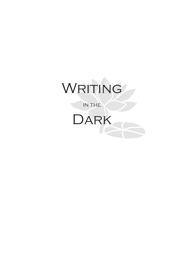# WRITING

in the

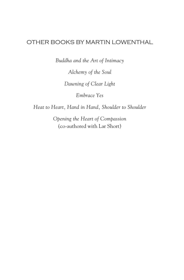#### OTHER BOOKS BY MARTIN LOWENTHAL

*Buddha and the Art of Intimacy*

*Alchemy of the Soul*

*Dawning of Clear Light*

*Embrace Yes*

*Heat to Heart, Hand in Hand, Shoulder to Shoulder*

*Opening the Heart of Compassion* (co-authored with Lar Short)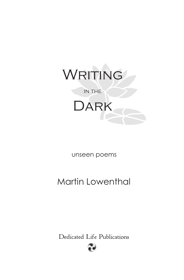

unseen poems

### Martin Lowenthal

Dedicated Life Publications

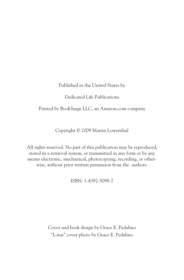Published in the United States by

Dedicated Life Publications

Printed by BookSurge LLC, an Amazon.com company

Copyright © 2009 Martin Lowenthal

All rights reserved. No part of this publication may be reproduced, stored in a retrieval system, or transmitted in any form or by any means electronic, mechanical, photocopying, recording, or otherwise, without prior written permission from the authors.

ISBN: 1-4392-5098-7

Cover and book design by Grace E. Pedalino "Lotus" cover photo by Grace E. Pedalino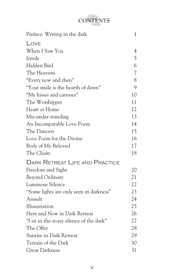## **CONTENTS**

| Preface: Writing in the dark             | 1              |
|------------------------------------------|----------------|
| LOVE                                     |                |
| When I Saw You                           | $\overline{4}$ |
| Inside                                   | 5              |
| Hidden Bird                              | 6              |
| The Heavens                              | $\overline{7}$ |
| "Every now and then"                     | 8              |
| "Your smile is the hearth of dawn"       | 9              |
| "My kisses and caresses"                 | 10             |
| The Worshipper                           | 11             |
| Heart at Home                            | 12             |
| Mis-under-standing                       | 13             |
| An Incomparable Love Poem                | 14             |
| The Dancers                              | 15             |
| Love Poem for the Divine                 | 16             |
| Body of My Beloved                       | 17             |
| The Chain                                | 18             |
| <b>DARK RETREAT LIFE AND PRACTICE</b>    |                |
| Freedom and Sight                        | 20             |
| <b>Beyond Ordinary</b>                   | 21             |
| Luminous Silence                         | 22             |
| "Some lights are only seen in darkness"  | 23             |
| Assault                                  | 24             |
| Illumination                             | 25             |
| Here and Now in Dark Retreat             | 26             |
| "I sit in the stony silence of the dark" | 27             |
| The Offer                                | 28             |
| Sunrise in Dark Retreat                  | 29             |
| Terrain of the Dark                      | 30             |
| <b>Great Darkness</b>                    | 31             |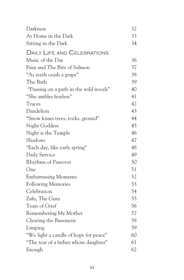| Darkness                              | 32 |
|---------------------------------------|----|
| At Home in the Dark                   | 33 |
| Sitting in the Dark                   | 34 |
| <b>DAILY LIFE AND CELEBRATIONS</b>    |    |
| Music of the Day                      | 36 |
| Finn and The Bite of Salmon           | 37 |
| "As teeth crush a grape"              | 38 |
| The Bath                              | 39 |
| "Pausing on a path in the wild woods" | 40 |
| "She ambles fearless"                 | 41 |
| Traces                                | 42 |
| Dandelion                             | 43 |
| "Snow kisses trees, rocks, ground"    | 44 |
| Night Goddess                         | 45 |
| Night is the Temple                   | 46 |
| Shadows                               | 47 |
| "Each day, like early spring"         | 48 |
| Daily Service                         | 49 |
| <b>Rhythms of Passover</b>            | 50 |
| One                                   | 51 |
| <b>Embarrassing Moments</b>           | 52 |
| <b>Following Memories</b>             | 53 |
| Celebration                           | 54 |
| Zafu, The Guru                        | 55 |
| Tears of Grief                        | 56 |
| Remembering My Mother                 | 57 |
| Clearing the Basement                 | 58 |
| Limping                               | 59 |
| "We light a candle of hope for peace" | 60 |
| "The tear of a father whose daughter" | 61 |
| Enough                                | 62 |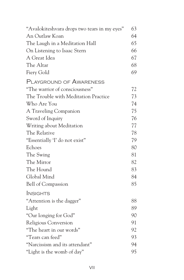| "Avalokiteshvara drops two tears in my eyes" | 63 |
|----------------------------------------------|----|
| An Outlaw Koan                               | 64 |
| The Laugh in a Meditation Hall               | 65 |
| On Listening to Isaac Stern                  | 66 |
| A Great Idea                                 | 67 |
| The Altar                                    | 68 |
| Fiery Gold                                   | 69 |
| PLAYGROUND OF AWARENESS                      |    |
| "The warrior of consciousness"               | 72 |
| The Trouble with Meditation Practice         | 73 |
| Who Are You                                  | 74 |
| A Traveling Companion                        | 75 |
| Sword of Inquiry                             | 76 |
| Writing about Meditation                     | 77 |
| The Relative                                 | 78 |
| "Essentially 'I' do not exist"               | 79 |
| Echoes                                       | 80 |
| The Swing                                    | 81 |
| The Mirror                                   | 82 |
| The Hound                                    | 83 |
| Global Mind                                  | 84 |
| <b>Bell of Compassion</b>                    | 85 |
| <b>INSIGHTS</b>                              |    |
| "Attention is the dagger"                    | 88 |
| Light                                        | 89 |
| "Our longing for God"                        | 90 |
| Religious Conversion                         | 91 |
| "The heart in our words"                     | 92 |
| "Tears can feed"                             | 93 |
| "Narcissism and its attendant"               | 94 |
| "Light is the womb of day"                   | 95 |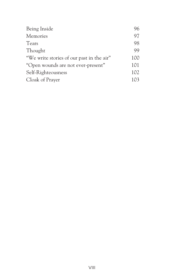| Being Inside                              | 96  |
|-------------------------------------------|-----|
| Memories                                  | 97  |
| Tears                                     | 98  |
| Thought                                   | 99  |
| "We write stories of our past in the air" | 100 |
| "Open wounds are not ever-present"        | 101 |
| Self-Righteousness                        | 102 |
| Cloak of Prayer                           | 103 |
|                                           |     |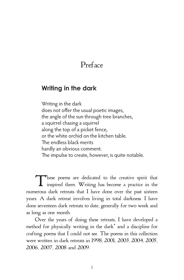#### Preface

#### **Writing in the dark**

Writing in the dark does not offer the usual poetic images, the angle of the sun through tree branches, a squirrel chasing a squirrel along the top of a picket fence, or the white orchid on the kitchen table. The endless black merits hardly an obvious comment. The impulse to create, however, is quite notable.

These poems are dedicated to the creative spirit that inspired them. Writing has become a practice in the numerous dark retreats that I have done over the past sixteen years. A dark retreat involves living in total darkness. I have done seventeen dark retreats to date, generally for two week and as long as one month.

Over the years of doing these retreats, I have developed a method for physically writing in the dark\* and a discipline for crafting poems that I could not see. The poems in this collection were written in dark retreats in 1998, 2001, 2003, 2004, 2005, 2006, 2007, 2008 and 2009.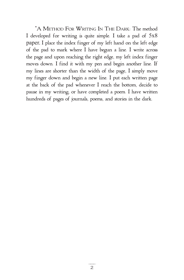\*A METHOD FOR WRITING IN THE DARK: The method I developed for writing is quite simple. I take a pad of 5x8 paper. I place the index finger of my left hand on the left edge of the pad to mark where I have begun a line. I write across the page and upon reaching the right edge, my left index finger moves down. I find it with my pen and begin another line. If my lines are shorter than the width of the page, I simply move my finger down and begin a new line. I put each written page at the back of the pad whenever I reach the bottom, decide to pause in my writing, or have completed a poem. I have written hundreds of pages of journals, poems, and stories in the dark.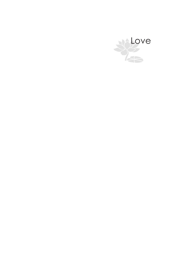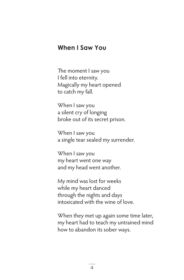#### **When I Saw You**

The moment I saw you I fell into eternity. Magically my heart opened to catch my fall.

When I saw you a silent cry of longing broke out of its secret prison.

When I saw you a single tear sealed my surrender.

When I saw you my heart went one way and my head went another.

My mind was lost for weeks while my heart danced through the nights and days intoxicated with the wine of love.

When they met up again some time later, my heart had to teach my untrained mind how to abandon its sober ways.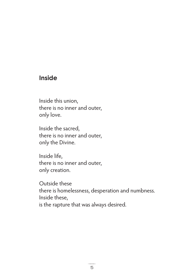#### **Inside**

Inside this union, there is no inner and outer, only love.

Inside the sacred, there is no inner and outer, only the Divine.

Inside life, there is no inner and outer, only creation.

Outside these there is homelessness, desperation and numbness. Inside these, is the rapture that was always desired.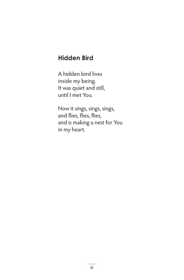#### **Hidden Bird**

A hidden bird lives inside my being. It was quiet and still, until I met You.

Now it sings, sings, sings, and flies, flies, flies, and is making a nest for You in my heart.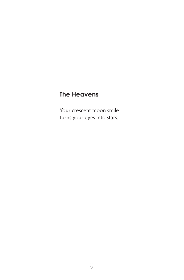#### **The Heavens**

Your crescent moon smile turns your eyes into stars.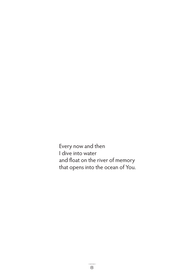Every now and then I dive into water and float on the river of memory that opens into the ocean of You.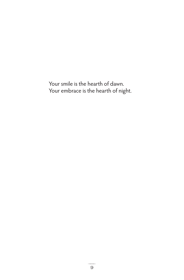Your smile is the hearth of dawn. Your embrace is the hearth of night.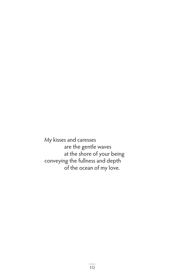My kisses and caresses are the gentle waves at the shore of your being conveying the fullness and depth of the ocean of my love.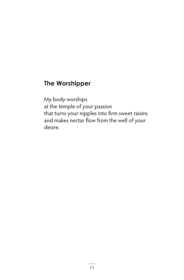#### **The Worshipper**

My body worships at the temple of your passion that turns your nipples into firm sweet raisins and makes nectar flow from the well of your desire.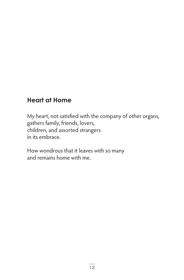#### **Heart at Home**

My heart, not satisfied with the company of other organs, gathers family, friends, lovers, children, and assorted strangers in its embrace.

How wondrous that it leaves with so many and remains home with me.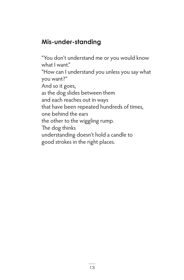#### **Mis-under-standing**

"You don't understand me or you would know what I want." "How can I understand you unless you say what you want?" And so it goes, as the dog slides between them and each reaches out in ways that have been repeated hundreds of times, one behind the ears the other to the wiggling rump. The dog thinks understanding doesn't hold a candle to good strokes in the right places.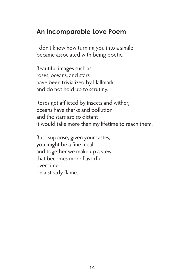#### **An Incomparable Love Poem**

I don't know how turning you into a simile became associated with being poetic.

Beautiful images such as roses, oceans, and stars have been trivialized by Hallmark and do not hold up to scrutiny.

Roses get afflicted by insects and wither, oceans have sharks and pollution, and the stars are so distant it would take more than my lifetime to reach them.

But I suppose, given your tastes, you might be a fine meal and together we make up a stew that becomes more flavorful over time on a steady flame.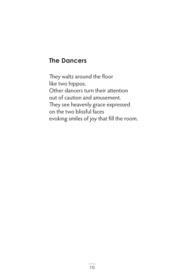#### **The Dancers**

They waltz around the floor like two hippos. Other dancers turn their attention out of caution and amusement. They see heavenly grace expressed on the two blissful faces evoking smiles of joy that fill the room.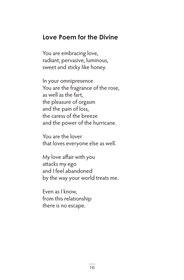#### **Love Poem for the Divine**

You are embracing love, radiant, pervasive, luminous, sweet and sticky like honey.

In your omnipresence You are the fragrance of the rose, as well as the fart, the pleasure of orgasm and the pain of loss, the caress of the breeze and the power of the hurricane.

You are the lover that loves everyone else as well.

My love affair with you attacks my ego and I feel abandoned by the way your world treats me.

Even as I know, from this relationship there is no escape.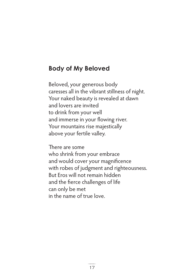#### **Body of My Beloved**

Beloved, your generous body caresses all in the vibrant stillness of night. Your naked beauty is revealed at dawn and lovers are invited to drink from your well and immerse in your flowing river. Your mountains rise majestically above your fertile valley.

There are some who shrink from your embrace and would cover your magnificence with robes of judgment and righteousness. But Eros will not remain hidden and the fierce challenges of life can only be met in the name of true love.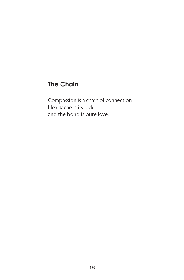#### **The Chain**

Compassion is a chain of connection. Heartache is its lock and the bond is pure love.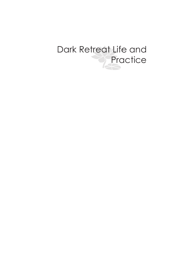## Dark Retreat Life and **Practice**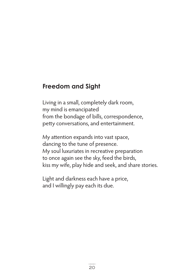#### **Freedom and Sight**

Living in a small, completely dark room, my mind is emancipated from the bondage of bills, correspondence, petty conversations, and entertainment.

My attention expands into vast space, dancing to the tune of presence. My soul luxuriates in recreative preparation to once again see the sky, feed the birds, kiss my wife, play hide and seek, and share stories.

Light and darkness each have a price, and I willingly pay each its due.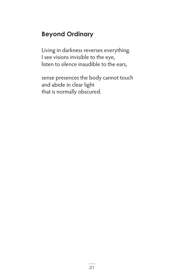#### **Beyond Ordinary**

Living in darkness reverses everything. I see visions invisible to the eye, listen to silence inaudible to the ears,

sense presences the body cannot touch and abide in clear light that is normally obscured.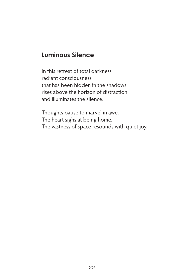#### **Luminous Silence**

In this retreat of total darkness radiant consciousness that has been hidden in the shadows rises above the horizon of distraction and illuminates the silence.

Thoughts pause to marvel in awe. The heart sighs at being home. The vastness of space resounds with quiet joy.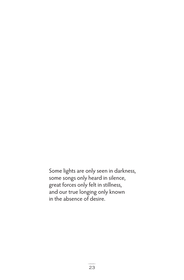Some lights are only seen in darkness, some songs only heard in silence, great forces only felt in stillness, and our true longing only known in the absence of desire.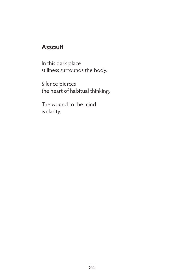#### **Assault**

In this dark place stillness surrounds the body.

Silence pierces the heart of habitual thinking.

The wound to the mind is clarity.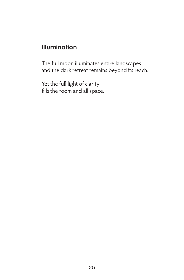#### **Illumination**

The full moon illuminates entire landscapes and the dark retreat remains beyond its reach.

Yet the full light of clarity fills the room and all space.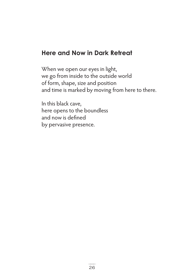#### **Here and Now in Dark Retreat**

When we open our eyes in light, we go from inside to the outside world of form, shape, size and position and time is marked by moving from here to there.

In this black cave, here opens to the boundless and now is defined by pervasive presence.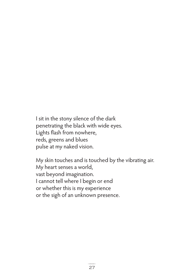I sit in the stony silence of the dark penetrating the black with wide eyes. Lights flash from nowhere, reds, greens and blues pulse at my naked vision.

My skin touches and is touched by the vibrating air. My heart senses a world, vast beyond imagination. I cannot tell where I begin or end or whether this is my experience or the sigh of an unknown presence.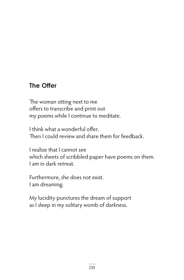#### **The Offer**

The woman sitting next to me offers to transcribe and print out my poems while I continue to meditate.

I think what a wonderful offer. Then I could review and share them for feedback.

I realize that I cannot see which sheets of scribbled paper have poems on them. I am in dark retreat.

Furthermore, she does not exist. I am dreaming.

My lucidity punctures the dream of support as I sleep in my solitary womb of darkness.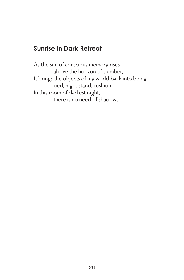## **Sunrise in Dark Retreat**

As the sun of conscious memory rises above the horizon of slumber, It brings the objects of my world back into being bed, night stand, cushion. In this room of darkest night, there is no need of shadows.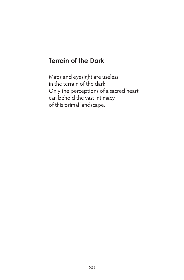#### **Terrain of the Dark**

Maps and eyesight are useless in the terrain of the dark. Only the perceptions of a sacred heart can behold the vast intimacy of this primal landscape.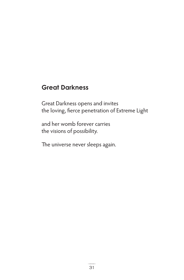#### **Great Darkness**

Great Darkness opens and invites the loving, fierce penetration of Extreme Light

and her womb forever carries the visions of possibility.

The universe never sleeps again.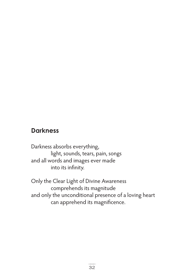#### **Darkness**

Darkness absorbs everything, light, sounds, tears, pain, songs and all words and images ever made into its infinity.

Only the Clear Light of Divine Awareness comprehends its magnitude and only the unconditional presence of a loving heart can apprehend its magnificence.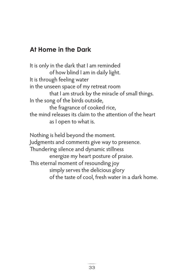### **At Home in the Dark**

It is only in the dark that I am reminded of how blind I am in daily light. It is through feeling water in the unseen space of my retreat room that I am struck by the miracle of small things. In the song of the birds outside, the fragrance of cooked rice, the mind releases its claim to the attention of the heart as I open to what is.

Nothing is held beyond the moment. Judgments and comments give way to presence. Thundering silence and dynamic stillness energize my heart posture of praise. This eternal moment of resounding joy simply serves the delicious glory of the taste of cool, fresh water in a dark home.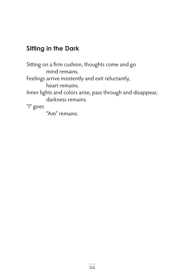## **Sitting in the Dark**

Sitting on a firm cushion, thoughts come and go mind remains. Feelings arrive insistently and exit reluctantly, heart remains. Inner lights and colors arise, pass through and disappear, darkness remains. "I" goes "Am" remains.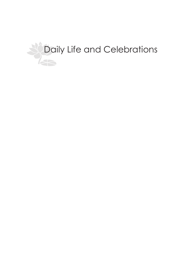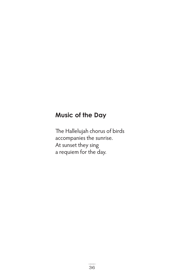### **Music of the Day**

The Hallelujah chorus of birds accompanies the sunrise. At sunset they sing a requiem for the day.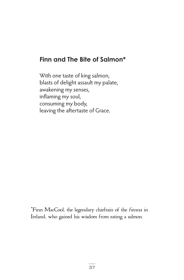## **Finn and The Bite of Salmon\***

With one taste of king salmon, blasts of delight assault my palate, awakening my senses, inflaming my soul, consuming my body, leaving the aftertaste of Grace.

\*Finn MacCool, the legendary chieftain of the fienna in Ireland, who gained his wisdom from eating a salmon.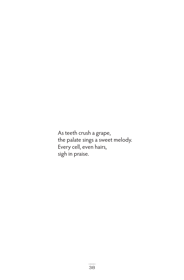As teeth crush a grape, the palate sings a sweet melody. Every cell, even hairs, sigh in praise.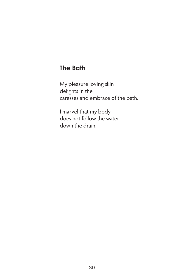## **The Bath**

My pleasure loving skin delights in the caresses and embrace of the bath.

I marvel that my body does not follow the water down the drain.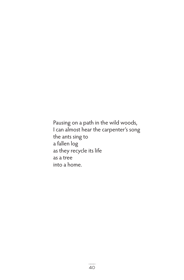Pausing on a path in the wild woods, I can almost hear the carpenter's song the ants sing to a fallen log as they recycle its life as a tree into a home.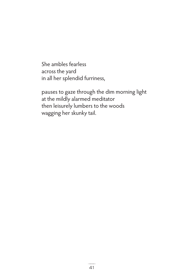She ambles fearless across the yard in all her splendid furriness,

pauses to gaze through the dim morning light at the mildly alarmed meditator then leisurely lumbers to the woods wagging her skunky tail.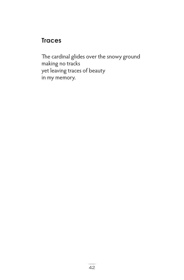## **Traces**

The cardinal glides over the snowy ground making no tracks yet leaving traces of beauty in my memory.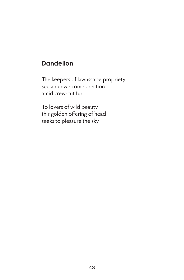## **Dandelion**

The keepers of lawnscape propriety see an unwelcome erection amid crew-cut fur.

To lovers of wild beauty this golden offering of head seeks to pleasure the sky.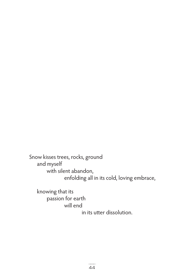Snow kisses trees, rocks, ground and myself with silent abandon, enfolding all in its cold, loving embrace,

 knowing that its passion for earth will end in its utter dissolution.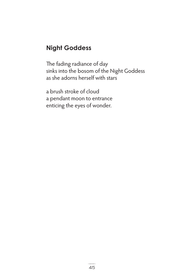## **Night Goddess**

The fading radiance of day sinks into the bosom of the Night Goddess as she adorns herself with stars

a brush stroke of cloud a pendant moon to entrance enticing the eyes of wonder.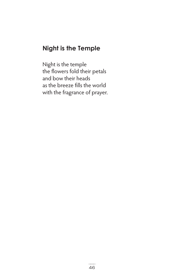## **Night is the Temple**

Night is the temple the flowers fold their petals and bow their heads as the breeze fills the world with the fragrance of prayer.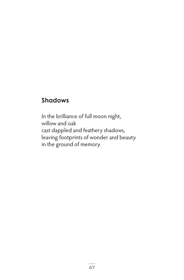## **Shadows**

In the brilliance of full moon night, willow and oak cast dappled and feathery shadows, leaving footprints of wonder and beauty in the ground of memory.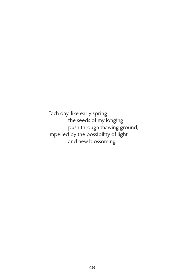Each day, like early spring, the seeds of my longing push through thawing ground, impelled by the possibility of light and new blossoming.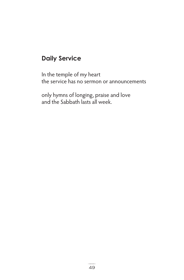# **Daily Service**

In the temple of my heart the service has no sermon or announcements

only hymns of longing, praise and love and the Sabbath lasts all week.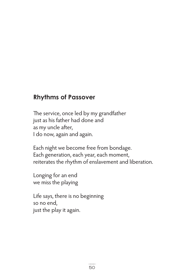#### **Rhythms of Passover**

The service, once led by my grandfather just as his father had done and as my uncle after, I do now, again and again.

Each night we become free from bondage. Each generation, each year, each moment, reiterates the rhythm of enslavement and liberation.

Longing for an end we miss the playing

Life says, there is no beginning so no end, just the play it again.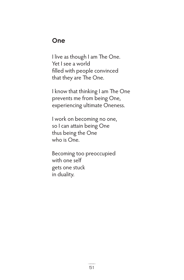#### **One**

I live as though I am The One. Yet I see a world filled with people convinced that they are The One.

I know that thinking I am The One prevents me from being One, experiencing ultimate Oneness.

I work on becoming no one, so I can attain being One thus being the One who is One.

Becoming too preoccupied with one self gets one stuck in duality.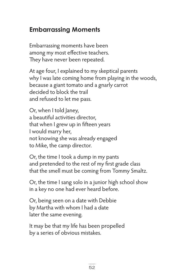# **Embarrassing Moments**

Embarrassing moments have been among my most effective teachers. They have never been repeated.

At age four, I explained to my skeptical parents why I was late coming home from playing in the woods, because a giant tomato and a gnarly carrot decided to block the trail and refused to let me pass.

Or, when I told Janey, a beautiful activities director, that when I grew up in fifteen years I would marry her, not knowing she was already engaged to Mike, the camp director.

Or, the time I took a dump in my pants and pretended to the rest of my first grade class that the smell must be coming from Tommy Smaltz.

Or, the time I sang solo in a junior high school show in a key no one had ever heard before.

Or, being seen on a date with Debbie by Martha with whom I had a date later the same evening.

It may be that my life has been propelled by a series of obvious mistakes.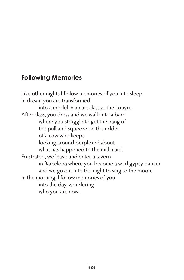## **Following Memories**

Like other nights I follow memories of you into sleep. In dream you are transformed into a model in an art class at the Louvre. After class, you dress and we walk into a barn where you struggle to get the hang of the pull and squeeze on the udder of a cow who keeps looking around perplexed about what has happened to the milkmaid. Frustrated, we leave and enter a tavern in Barcelona where you become a wild gypsy dancer and we go out into the night to sing to the moon. In the morning, I follow memories of you into the day, wondering who you are now.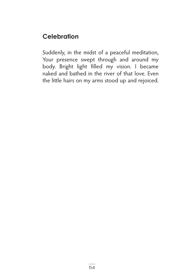# **Celebration**

Suddenly, in the midst of a peaceful meditation, Your presence swept through and around my body. Bright light filled my vision. I became naked and bathed in the river of that love. Even the little hairs on my arms stood up and rejoiced.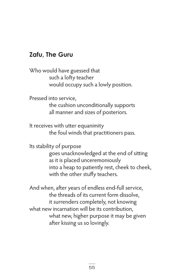#### **Zafu, The Guru**

Who would have guessed that such a lofty teacher would occupy such a lowly position.

Pressed into service,

 the cushion unconditionally supports all manner and sizes of posteriors.

It receives with utter equanimity the foul winds that practitioners pass.

Its stability of purpose

goes unacknowledged at the end of sitting as it is placed unceremoniously into a heap to patiently rest, cheek to cheek, with the other stuffy teachers.

And when, after years of endless end-full service, the threads of its current form dissolve, it surrenders completely, not knowing what new incarnation will be its contribution, what new, higher purpose it may be given after kissing us so lovingly.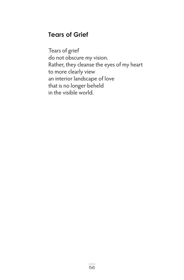## **Tears of Grief**

Tears of grief do not obscure my vision. Rather, they cleanse the eyes of my heart to more clearly view an interior landscape of love that is no longer beheld in the visible world.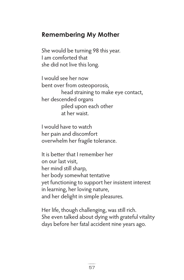#### **Remembering My Mother**

She would be turning 98 this year. I am comforted that she did not live this long.

I would see her now bent over from osteoporosis, head straining to make eye contact, her descended organs piled upon each other at her waist.

I would have to watch her pain and discomfort overwhelm her fragile tolerance.

It is better that I remember her on our last visit, her mind still sharp, her body somewhat tentative yet functioning to support her insistent interest in learning, her loving nature, and her delight in simple pleasures.

Her life, though challenging, was still rich. She even talked about dying with grateful vitality days before her fatal accident nine years ago.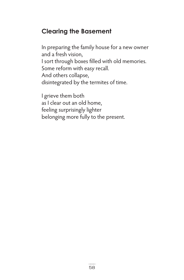## **Clearing the Basement**

In preparing the family house for a new owner and a fresh vision, I sort through boxes filled with old memories. Some reform with easy recall. And others collapse, disintegrated by the termites of time.

I grieve them both as I clear out an old home, feeling surprisingly lighter belonging more fully to the present.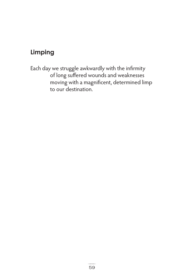## **Limping**

Each day we struggle awkwardly with the infirmity of long suffered wounds and weaknesses moving with a magnificent, determined limp to our destination.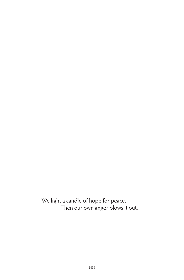We light a candle of hope for peace. Then our own anger blows it out.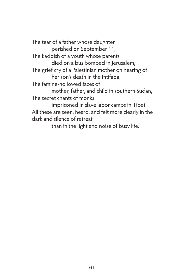The tear of a father whose daughter perished on September 11, The kaddish of a youth whose parents died on a bus bombed in Jerusalem, The grief cry of a Palestinian mother on hearing of her son's death in the Intifada, The famine-hollowed faces of mother, father, and child in southern Sudan, The secret chants of monks imprisoned in slave labor camps in Tibet, All these are seen, heard, and felt more clearly in the dark and silence of retreat than in the light and noise of busy life.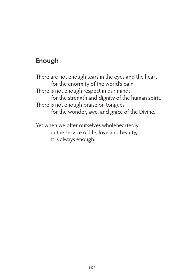## **Enough**

There are not enough tears in the eyes and the heart for the enormity of the world's pain. There is not enough respect in our minds for the strength and dignity of the human spirit. There is not enough praise on tongues for the wonder, awe, and grace of the Divine.

Yet when we offer ourselves wholeheartedly in the service of life, love and beauty, it is always enough.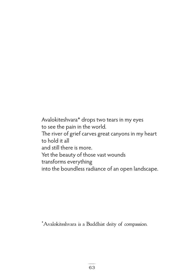Avalokiteshvara\* drops two tears in my eyes to see the pain in the world. The river of grief carves great canyons in my heart to hold it all and still there is more. Yet the beauty of those vast wounds transforms everything into the boundless radiance of an open landscape.

\*Avalokiteshvara is a Buddhist deity of compassion.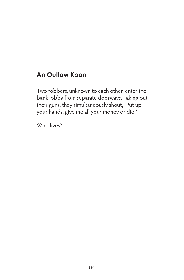## **An Outlaw Koan**

Two robbers, unknown to each other, enter the bank lobby from separate doorways. Taking out their guns, they simultaneously shout, "Put up your hands, give me all your money or die!"

Who lives?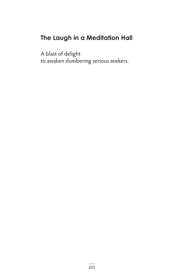# **The Laugh in a Meditation Hall**

A blast of delight to awaken slumbering serious seekers.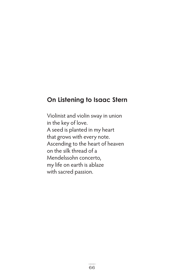#### **On Listening to Isaac Stern**

Violinist and violin sway in union in the key of love. A seed is planted in my heart that grows with every note. Ascending to the heart of heaven on the silk thread of a Mendelssohn concerto, my life on earth is ablaze with sacred passion.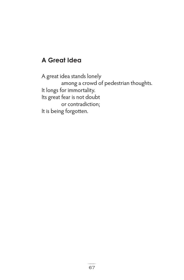## **A Great Idea**

A great idea stands lonely among a crowd of pedestrian thoughts. It longs for immortality. Its great fear is not doubt or contradiction; It is being forgotten.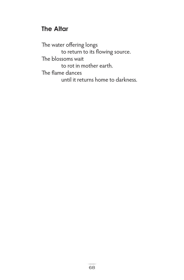## **The Altar**

The water offering longs to return to its flowing source. The blossoms wait to rot in mother earth. The flame dances until it returns home to darkness.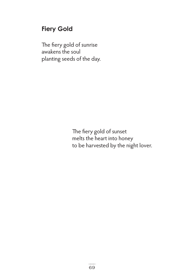## **Fiery Gold**

The fiery gold of sunrise awakens the soul planting seeds of the day.

> The fiery gold of sunset melts the heart into honey to be harvested by the night lover.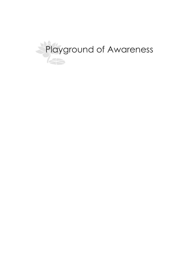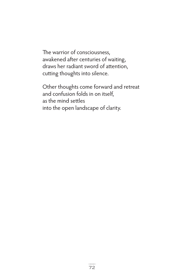The warrior of consciousness, awakened after centuries of waiting, draws her radiant sword of attention, cutting thoughts into silence.

Other thoughts come forward and retreat and confusion folds in on itself, as the mind settles into the open landscape of clarity.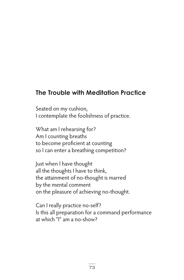## **The Trouble with Meditation Practice**

Seated on my cushion, I contemplate the foolishness of practice.

What am I rehearsing for? Am I counting breaths to become proficient at counting so I can enter a breathing competition?

Just when I have thought all the thoughts I have to think, the attainment of no-thought is marred by the mental comment on the pleasure of achieving no-thought.

Can I really practice no-self? Is this all preparation for a command performance at which "I" am a no-show?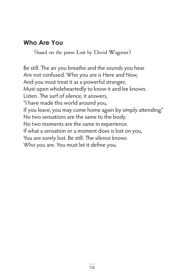## **Who Are You**

(based on the poem Lost by David Wagoner)

Be still. The air you breathe and the sounds you hear Are not confused. Who you are is Here and Now, And you must treat it as a powerful stranger, Must open wholeheartedly to know it and be known. Listen. The surf of silence, it answers, "I have made this world around you, If you leave, you may come home again by simply attending." No two sensations are the same to the body. No two moments are the same in experience. If what a sensation or a moment does is lost on you, You are surely lost. Be still. The silence knows Who you are. You must let it define you.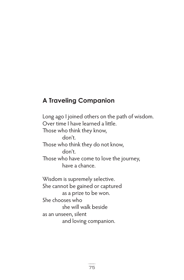## **A Traveling Companion**

Long ago I joined others on the path of wisdom. Over time I have learned a little. Those who think they know, don't. Those who think they do not know, don't. Those who have come to love the journey, have a chance.

Wisdom is supremely selective. She cannot be gained or captured as a prize to be won. She chooses who she will walk beside as an unseen, silent and loving companion.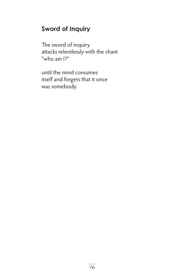## **Sword of Inquiry**

The sword of inquiry attacks relentlessly with the chant "who am I?"

until the mind consumes itself and forgets that it once was somebody.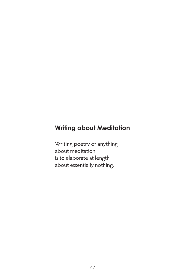## **Writing about Meditation**

Writing poetry or anything about meditation is to elaborate at length about essentially nothing.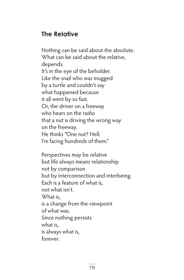## **The Relative**

Nothing can be said about the absolute. What can be said about the relative, depends. It's in the eye of the beholder. Like the snail who was mugged by a turtle and couldn't say what happened because it all went by so fast. Or, the driver on a freeway who hears on the radio that a nut is driving the wrong way on the freeway. He thinks "One nut? Hell. I'm facing hundreds of them."

Perspectives may be relative but life always means relationship not by comparison but by interconnection and interbeing. Each is a feature of what is, not what isn't. What is, is a change from the viewpoint of what was. Since nothing persists what is, is always what is, forever.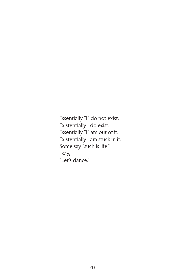Essentially "I" do not exist. Existentially I do exist. Essentially "I" am out of it. Existentially I am stuck in it. Some say "such is life." I say, "Let's dance."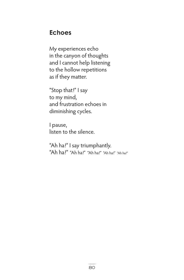#### **Echoes**

My experiences echo in the canyon of thoughts and I cannot help listening to the hollow repetitions as if they matter.

"Stop that!" I say to my mind, and frustration echoes in diminishing cycles.

I pause, listen to the silence.

"Ah ha!" I say triumphantly. "Ah ha!" "Ah ha!" "Ah ha!" "Ah ha!" "Ah ha!"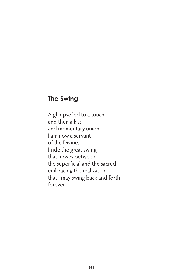#### **The Swing**

A glimpse led to a touch and then a kiss and momentary union. I am now a servant of the Divine. I ride the great swing that moves between the superficial and the sacred embracing the realization that I may swing back and forth forever.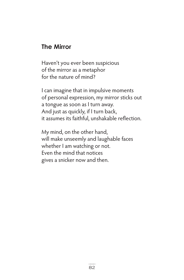#### **The Mirror**

Haven't you ever been suspicious of the mirror as a metaphor for the nature of mind?

I can imagine that in impulsive moments of personal expression, my mirror sticks out a tongue as soon as I turn away. And just as quickly, if I turn back, it assumes its faithful, unshakable reflection.

My mind, on the other hand, will make unseemly and laughable faces whether I am watching or not. Even the mind that notices gives a snicker now and then.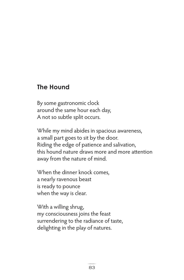#### **The Hound**

By some gastronomic clock around the same hour each day, A not so subtle split occurs.

While my mind abides in spacious awareness, a small part goes to sit by the door. Riding the edge of patience and salivation, this hound nature draws more and more attention away from the nature of mind.

When the dinner knock comes, a nearly ravenous beast is ready to pounce when the way is clear.

With a willing shrug, my consciousness joins the feast surrendering to the radiance of taste, delighting in the play of natures.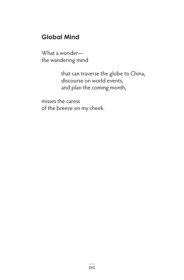## **Global Mind**

What a wonder the wandering mind

> that can traverse the globe to China, discourse on world events, and plan the coming month,

misses the caress of the breeze on my cheek.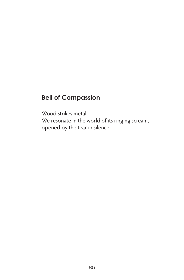## **Bell of Compassion**

Wood strikes metal.

We resonate in the world of its ringing scream, opened by the tear in silence.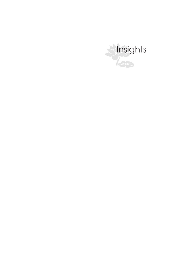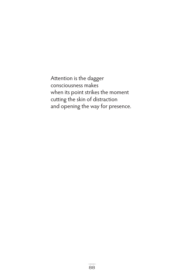Attention is the dagger consciousness makes when its point strikes the moment cutting the skin of distraction and opening the way for presence.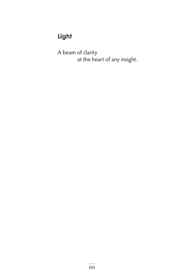# **Light**

A beam of clarity at the heart of any insight.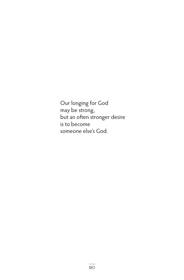Our longing for God may be strong, but an often stronger desire is to become someone else's God.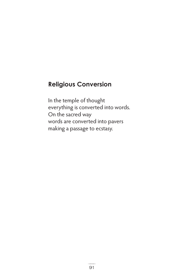## **Religious Conversion**

In the temple of thought everything is converted into words. On the sacred way words are converted into pavers making a passage to ecstasy.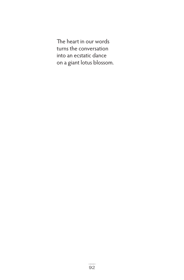The heart in our words turns the conversation into an ecstatic dance on a giant lotus blossom.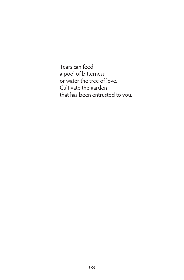Tears can feed a pool of bitterness or water the tree of love. Cultivate the garden that has been entrusted to you.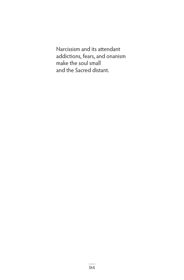Narcissism and its attendant addictions, fears, and onanism make the soul small and the Sacred distant.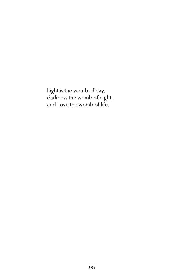Light is the womb of day, darkness the womb of night, and Love the womb of life.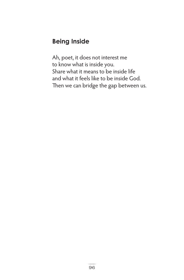## **Being Inside**

Ah, poet, it does not interest me to know what is inside you. Share what it means to be inside life and what it feels like to be inside God. Then we can bridge the gap between us.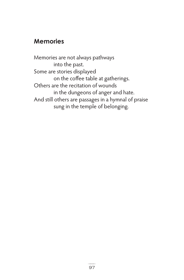#### **Memories**

Memories are not always pathways into the past. Some are stories displayed on the coffee table at gatherings. Others are the recitation of wounds in the dungeons of anger and hate. And still others are passages in a hymnal of praise sung in the temple of belonging.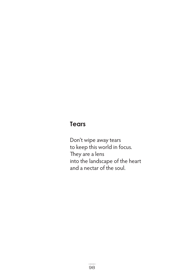## **Tears**

Don't wipe away tears to keep this world in focus. They are a lens into the landscape of the heart and a nectar of the soul.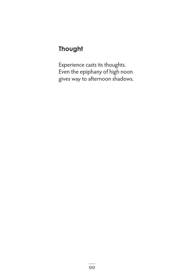## **Thought**

Experience casts its thoughts. Even the epiphany of high noon gives way to afternoon shadows.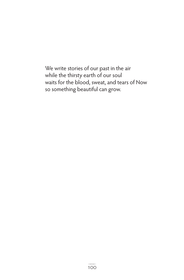We write stories of our past in the air while the thirsty earth of our soul waits for the blood, sweat, and tears of Now so something beautiful can grow.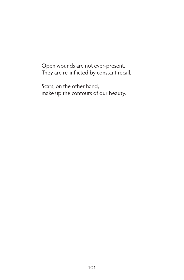Open wounds are not ever-present. They are re-inflicted by constant recall.

Scars, on the other hand, make up the contours of our beauty.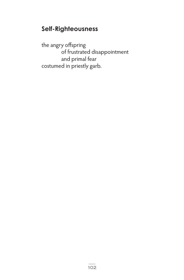## **Self-Righteousness**

the angry offspring of frustrated disappointment and primal fear costumed in priestly garb.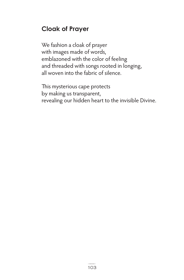## **Cloak of Prayer**

We fashion a cloak of prayer with images made of words, emblazoned with the color of feeling and threaded with songs rooted in longing, all woven into the fabric of silence.

This mysterious cape protects by making us transparent, revealing our hidden heart to the invisible Divine.